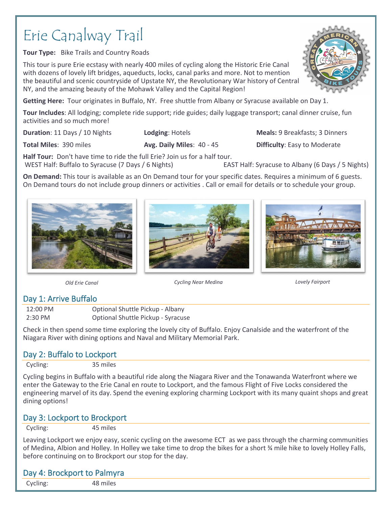# Erie Canalway Trail

**Tour Type:** Bike Trails and Country Roads

This tour is pure Erie ecstasy with nearly 400 miles of cycling along the Historic Erie Canal with dozens of lovely lift bridges, aqueducts, locks, canal parks and more. Not to mention the beautiful and scenic countryside of Upstate NY, the Revolutionary War history of Central NY, and the amazing beauty of the Mohawk Valley and the Capital Region!

**Getting Here:** Tour originates in Buffalo, NY. Free shuttle from Albany or Syracuse available on Day 1.

**Tour Includes**: All lodging; complete ride support; ride guides; daily luggage transport; canal dinner cruise, fun activities and so much more!

**Duration**: 11 Days / 10 Nights. **Lodging**: Hotels **Meals:** 9 Breakfasts: 3 Dinners

**Total Miles**: 390 miles **Avg. Daily Miles**: 40 - 45 **Difficulty**: Easy to Moderate

**Half Tour:** Don't have time to ride the full Erie? Join us for a half tour. WEST Half: Buffalo to Syracuse (7 Days / 6 Nights) EAST Half: Syracuse to Albany (6 Days / 5 Nights)

**On Demand:** This tour is available as an On Demand tour for your specific dates. Requires a minimum of 6 guests. On Demand tours do not include group dinners or activities . Call or email for details or to schedule your group.



*Old Erie Canal Cycling Near Medina Lovely Fairport*

#### Day 1: Arrive Buffalo

12:00 PM Optional Shuttle Pickup - Albany 2:30 PM Optional Shuttle Pickup - Syracuse

Check in then spend some time exploring the lovely city of Buffalo. Enjoy Canalside and the waterfront of the Niagara River with dining options and Naval and Military Memorial Park.

# Day 2: Buffalo to Lockport

Cycling: 35 miles

Cycling begins in Buffalo with a beautiful ride along the Niagara River and the Tonawanda Waterfront where we enter the Gateway to the Erie Canal en route to Lockport, and the famous Flight of Five Locks considered the engineering marvel of its day. Spend the evening exploring charming Lockport with its many quaint shops and great dining options!

#### Day 3: Lockport to Brockport

Cycling: 45 miles

Leaving Lockport we enjoy easy, scenic cycling on the awesome ECT as we pass through the charming communities of Medina, Albion and Holley. In Holley we take time to drop the bikes for a short ¾ mile hike to lovely Holley Falls, before continuing on to Brockport our stop for the day.